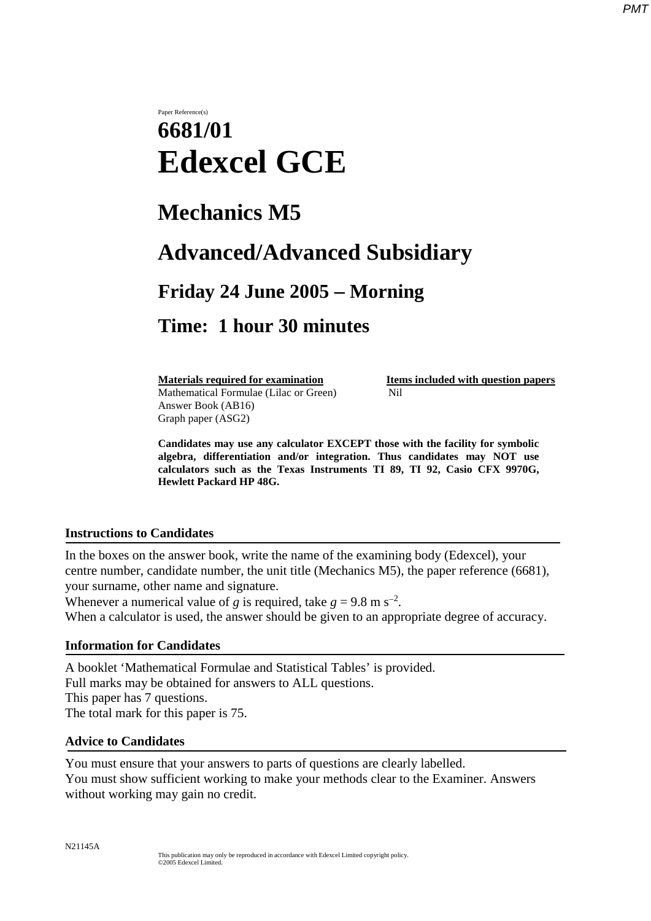#### *PMT*

# Paper Reference(s) **6681/01 Edexcel GCE**

# **Mechanics M5**

# **Advanced/Advanced Subsidiary**

### **Friday 24 June 2005** − **Morning**

### **Time: 1 hour 30 minutes**

Mathematical Formulae (Lilac or Green)Nil Answer Book (AB16) Graph paper (ASG2)

**Materials required for examination Items included with question papers** 

**Candidates may use any calculator EXCEPT those with the facility for symbolic algebra, differentiation and/or integration. Thus candidates may NOT use calculators such as the Texas Instruments TI 89, TI 92, Casio CFX 9970G, Hewlett Packard HP 48G.**

#### **Instructions to Candidates**

In the boxes on the answer book, write the name of the examining body (Edexcel), your centre number, candidate number, the unit title (Mechanics M5), the paper reference (6681), your surname, other name and signature.

Whenever a numerical value of *g* is required, take  $g = 9.8$  m s<sup>-2</sup>. When a calculator is used, the answer should be given to an appropriate degree of accuracy.

### **Information for Candidates**

A booklet 'Mathematical Formulae and Statistical Tables' is provided. Full marks may be obtained for answers to ALL questions. This paper has 7 questions. The total mark for this paper is 75.

### **Advice to Candidates**

You must ensure that your answers to parts of questions are clearly labelled. You must show sufficient working to make your methods clear to the Examiner. Answers without working may gain no credit.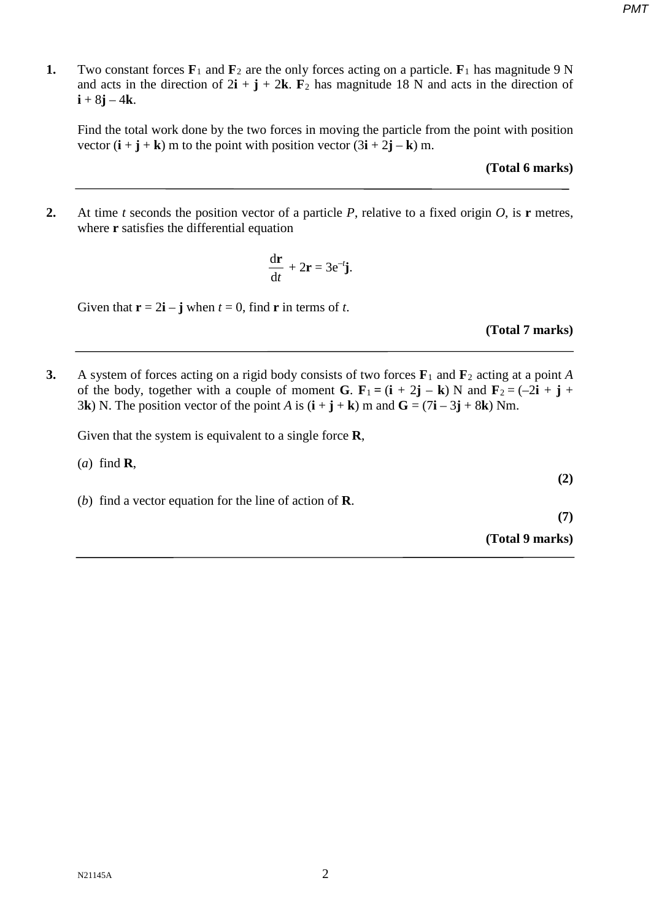- *PMT*
- **1.** Two constant forces  $\mathbf{F}_1$  and  $\mathbf{F}_2$  are the only forces acting on a particle.  $\mathbf{F}_1$  has magnitude 9 N and acts in the direction of  $2\mathbf{i} + \mathbf{j} + 2\mathbf{k}$ .  $\mathbf{F}_2$  has magnitude 18 N and acts in the direction of  $i + 8j - 4k$ .

Find the total work done by the two forces in moving the particle from the point with position vector  $(i + j + k)$  m to the point with position vector  $(3i + 2j - k)$  m.

**(Total 6 marks)** 

**2.** At time *t* seconds the position vector of a particle *P*, relative to a fixed origin *O*, is **r** metres, where **r** satisfies the differential equation

$$
\frac{\mathrm{d}\mathbf{r}}{\mathrm{d}t} + 2\mathbf{r} = 3\mathrm{e}^{-t}\mathbf{j}.
$$

Given that  $\mathbf{r} = 2\mathbf{i} - \mathbf{j}$  when  $t = 0$ , find **r** in terms of *t*.

**(Total 7 marks)** 

**3.** A system of forces acting on a rigid body consists of two forces **F**<sup>1</sup> and **F**<sup>2</sup> acting at a point *A* of the body, together with a couple of moment **G**.  $\mathbf{F}_1 = (\mathbf{i} + 2\mathbf{j} - \mathbf{k})$  N and  $\mathbf{F}_2 = (-2\mathbf{i} + \mathbf{j} + \mathbf{k})$ 3**k**) N. The position vector of the point *A* is  $(i + j + k)$  m and  $G = (7i - 3j + 8k)$  Nm.

Given that the system is equivalent to a single force **R**,

| $(a)$ find <b>R</b> ,                                           | (2)             |
|-----------------------------------------------------------------|-----------------|
| (b) find a vector equation for the line of action of $\bf{R}$ . |                 |
|                                                                 | (7)             |
|                                                                 | (Total 9 marks) |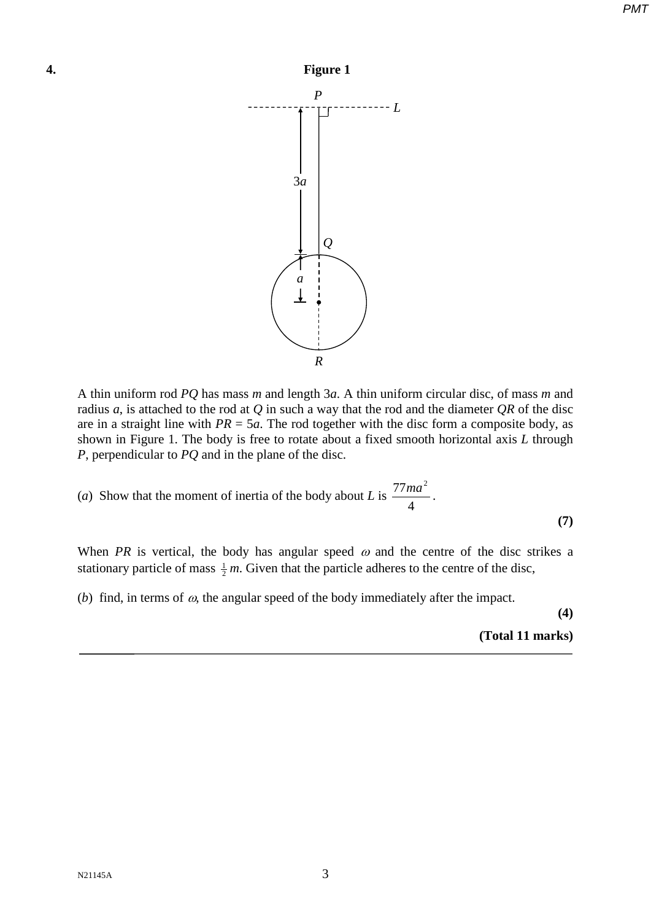

A thin uniform rod *PQ* has mass *m* and length 3*a*. A thin uniform circular disc, of mass *m* and radius *a*, is attached to the rod at *Q* in such a way that the rod and the diameter *QR* of the disc are in a straight line with  $PR = 5a$ . The rod together with the disc form a composite body, as shown in Figure 1. The body is free to rotate about a fixed smooth horizontal axis *L* through *P*, perpendicular to *PQ* and in the plane of the disc.

(a) Show that the moment of inertia of the body about L is 
$$
\frac{77ma^2}{4}
$$
. (7)

When *PR* is vertical, the body has angular speed  $\omega$  and the centre of the disc strikes a stationary particle of mass  $\frac{1}{2}m$ . Given that the particle adheres to the centre of the disc,

(*b*) find, in terms of  $\omega$ , the angular speed of the body immediately after the impact.

**(4)** 

**(Total 11 marks)**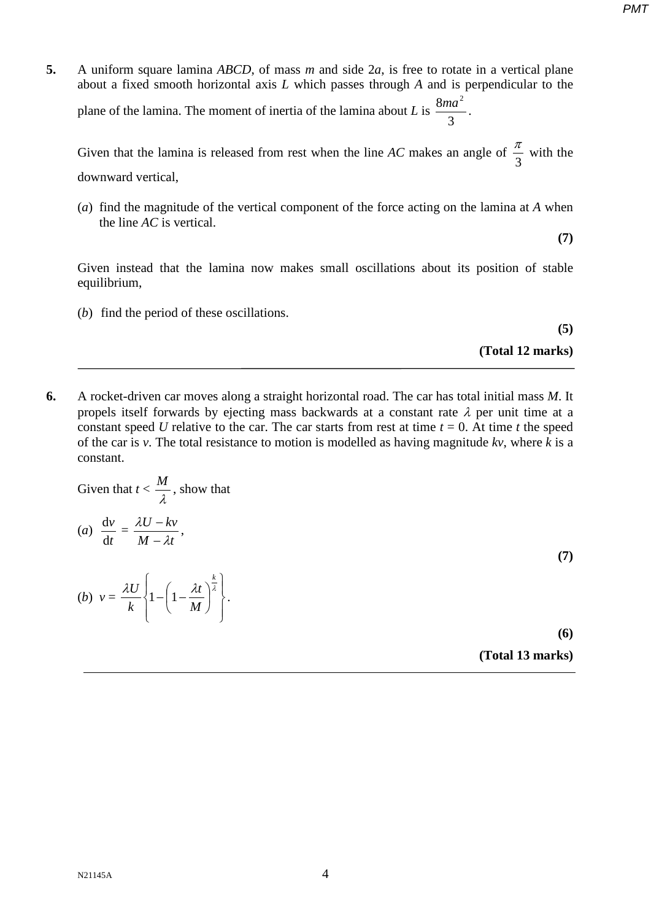**5.** A uniform square lamina *ABCD*, of mass *m* and side 2*a*, is free to rotate in a vertical plane about a fixed smooth horizontal axis *L* which passes through *A* and is perpendicular to the plane of the lamina. The moment of inertia of the lamina about *L* is 3  $\frac{8ma^2}{2}$ .

Given that the lamina is released from rest when the line *AC* makes an angle of  $\frac{\pi}{3}$  with the downward vertical,

 (*a*) find the magnitude of the vertical component of the force acting on the lamina at *A* when the line *AC* is vertical.

Given instead that the lamina now makes small oscillations about its position of stable equilibrium,

(*b*) find the period of these oscillations.

**(5)**

**(7)** 

**(Total 12 marks)** 

**6.** A rocket-driven car moves along a straight horizontal road. The car has total initial mass *M*. It propels itself forwards by ejecting mass backwards at a constant rate  $\lambda$  per unit time at a constant speed *U* relative to the car. The car starts from rest at time  $t = 0$ . At time *t* the speed of the car is *v*. The total resistance to motion is modelled as having magnitude *kv*, where *k* is a constant.

Given that 
$$
t < \frac{M}{\lambda}
$$
, show that  
\n(a)  $\frac{dv}{dt} = \frac{\lambda U - kv}{M - \lambda t}$ ,  
\n(b)  $v = \frac{\lambda U}{k} \left\{ 1 - \left( 1 - \frac{\lambda t}{M} \right)^{\frac{k}{\lambda}} \right\}.$  (7)

**(Total 13 marks)** 

 $N21145A$  4